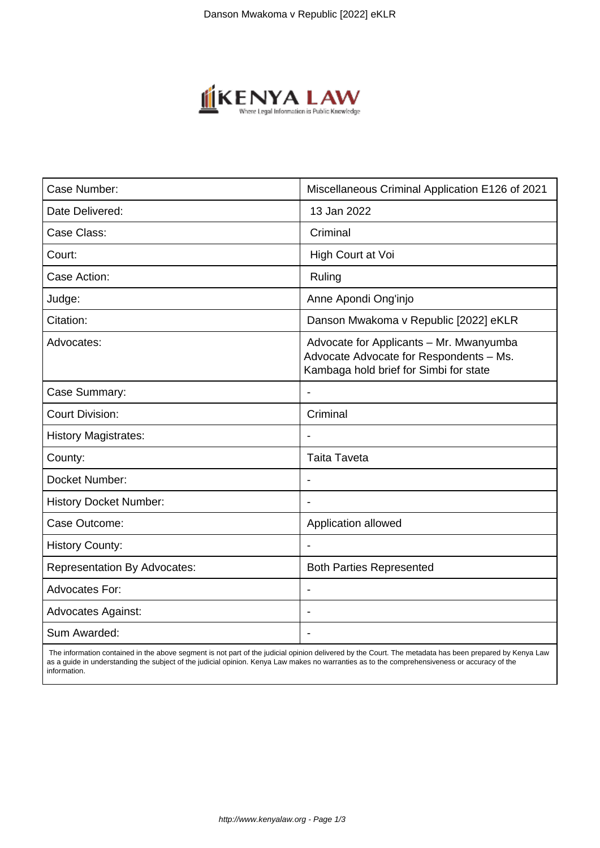

| Case Number:                        | Miscellaneous Criminal Application E126 of 2021                                                                              |
|-------------------------------------|------------------------------------------------------------------------------------------------------------------------------|
| Date Delivered:                     | 13 Jan 2022                                                                                                                  |
| Case Class:                         | Criminal                                                                                                                     |
| Court:                              | High Court at Voi                                                                                                            |
| Case Action:                        | Ruling                                                                                                                       |
| Judge:                              | Anne Apondi Ong'injo                                                                                                         |
| Citation:                           | Danson Mwakoma v Republic [2022] eKLR                                                                                        |
| Advocates:                          | Advocate for Applicants - Mr. Mwanyumba<br>Advocate Advocate for Respondents - Ms.<br>Kambaga hold brief for Simbi for state |
| Case Summary:                       | $\overline{\phantom{a}}$                                                                                                     |
| <b>Court Division:</b>              | Criminal                                                                                                                     |
| <b>History Magistrates:</b>         |                                                                                                                              |
| County:                             | <b>Taita Taveta</b>                                                                                                          |
| Docket Number:                      | $\overline{\phantom{a}}$                                                                                                     |
| <b>History Docket Number:</b>       |                                                                                                                              |
| Case Outcome:                       | Application allowed                                                                                                          |
| <b>History County:</b>              |                                                                                                                              |
| <b>Representation By Advocates:</b> | <b>Both Parties Represented</b>                                                                                              |
| <b>Advocates For:</b>               |                                                                                                                              |
| <b>Advocates Against:</b>           |                                                                                                                              |
| Sum Awarded:                        |                                                                                                                              |

 The information contained in the above segment is not part of the judicial opinion delivered by the Court. The metadata has been prepared by Kenya Law as a guide in understanding the subject of the judicial opinion. Kenya Law makes no warranties as to the comprehensiveness or accuracy of the information.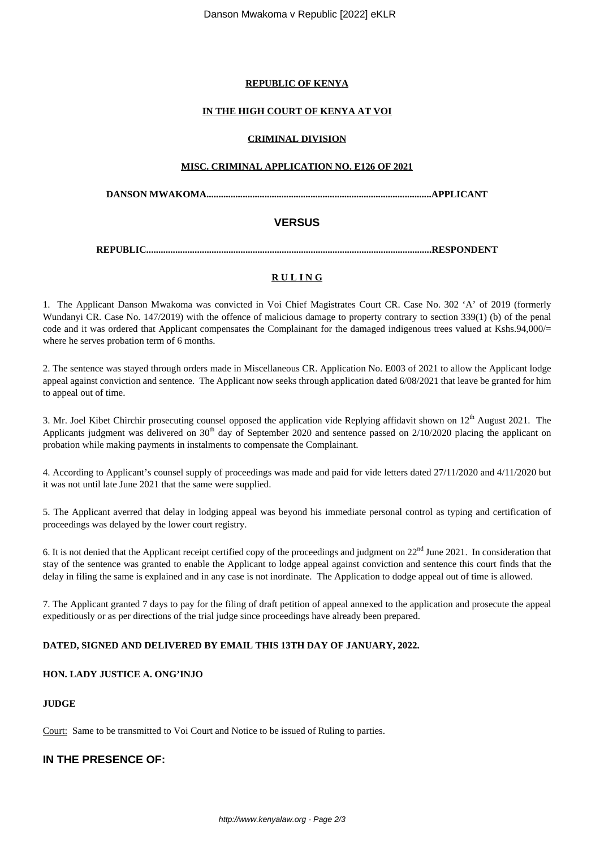#### **REPUBLIC OF KENYA**

#### **IN THE HIGH COURT OF KENYA AT VOI**

#### **CRIMINAL DIVISION**

#### **MISC. CRIMINAL APPLICATION NO. E126 OF 2021**

**DANSON MWAKOMA.............................................................................................APPLICANT**

## **VERSUS**

**REPUBLIC......................................................................................................................RESPONDENT**

## **R U L I N G**

1. The Applicant Danson Mwakoma was convicted in Voi Chief Magistrates Court CR. Case No. 302 'A' of 2019 (formerly Wundanyi CR. Case No. 147/2019) with the offence of malicious damage to property contrary to section 339(1) (b) of the penal code and it was ordered that Applicant compensates the Complainant for the damaged indigenous trees valued at Kshs.94,000/= where he serves probation term of 6 months.

2. The sentence was stayed through orders made in Miscellaneous CR. Application No. E003 of 2021 to allow the Applicant lodge appeal against conviction and sentence. The Applicant now seeks through application dated 6/08/2021 that leave be granted for him to appeal out of time.

3. Mr. Joel Kibet Chirchir prosecuting counsel opposed the application vide Replying affidavit shown on  $12<sup>th</sup>$  August 2021. The Applicants judgment was delivered on  $30<sup>th</sup>$  day of September 2020 and sentence passed on  $2/10/2020$  placing the applicant on probation while making payments in instalments to compensate the Complainant.

4. According to Applicant's counsel supply of proceedings was made and paid for vide letters dated 27/11/2020 and 4/11/2020 but it was not until late June 2021 that the same were supplied.

5. The Applicant averred that delay in lodging appeal was beyond his immediate personal control as typing and certification of proceedings was delayed by the lower court registry.

6. It is not denied that the Applicant receipt certified copy of the proceedings and judgment on 22<sup>nd</sup> June 2021. In consideration that stay of the sentence was granted to enable the Applicant to lodge appeal against conviction and sentence this court finds that the delay in filing the same is explained and in any case is not inordinate. The Application to dodge appeal out of time is allowed.

7. The Applicant granted 7 days to pay for the filing of draft petition of appeal annexed to the application and prosecute the appeal expeditiously or as per directions of the trial judge since proceedings have already been prepared.

## **DATED, SIGNED AND DELIVERED BY EMAIL THIS 13TH DAY OF JANUARY, 2022.**

#### **HON. LADY JUSTICE A. ONG'INJO**

#### **JUDGE**

Court: Same to be transmitted to Voi Court and Notice to be issued of Ruling to parties.

## **IN THE PRESENCE OF:**